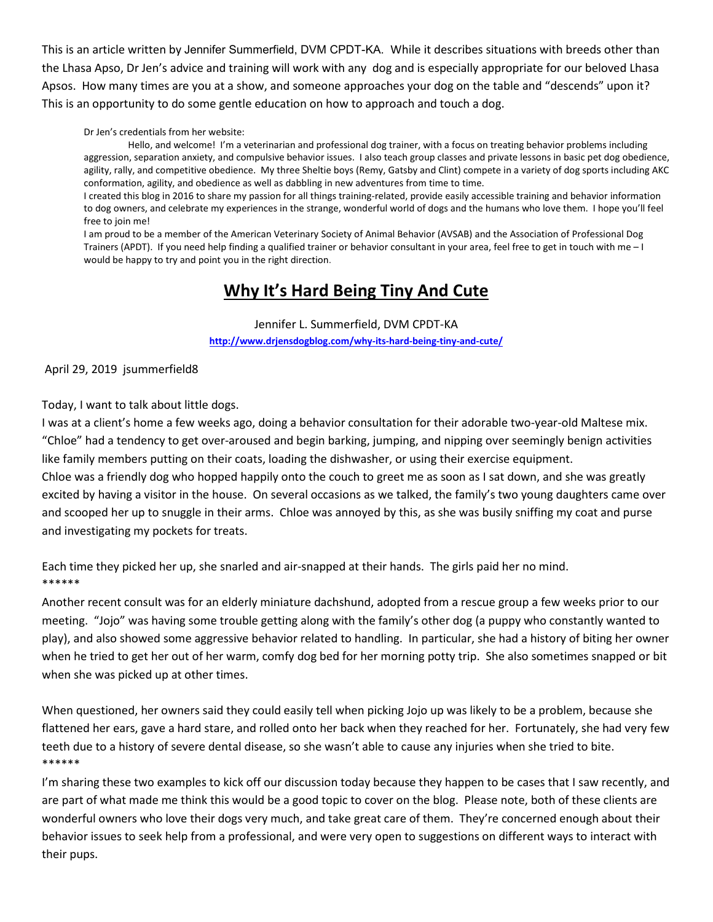This is an article written by Jennifer Summerfield, DVM CPDT-KA. While it describes situations with breeds other than the Lhasa Apso, Dr Jen's advice and training will work with any dog and is especially appropriate for our beloved Lhasa Apsos. How many times are you at a show, and someone approaches your dog on the table and "descends" upon it? This is an opportunity to do some gentle education on how to approach and touch a dog.

#### Dr Jen's credentials from her website:

Hello, and welcome! I'm a veterinarian and professional dog trainer, with a focus on treating behavior problems including aggression, separation anxiety, and compulsive behavior issues. I also teach group classes and private lessons in basic pet dog obedience, agility, rally, and competitive obedience. My three Sheltie boys (Remy, Gatsby and Clint) compete in a variety of dog sports including AKC conformation, agility, and obedience as well as dabbling in new adventures from time to time.

I created this blog in 2016 to share my passion for all things training-related, provide easily accessible training and behavior information to dog owners, and celebrate my experiences in the strange, wonderful world of dogs and the humans who love them. I hope you'll feel free to join me!

I am proud to be a member of the American Veterinary Society of Animal Behavior (AVSAB) and the Association of Professional Dog Trainers (APDT). If you need help finding a qualified trainer or behavior consultant in your area, feel free t[o get in touch with me](http://www.drjensdogblog.com/contact-me/) – I would be happy to try and point you in the right direction.

# **Why It's Hard Being Tiny And Cute**

Jennifer L. Summerfield, DVM CPDT-KA **<http://www.drjensdogblog.com/why-its-hard-being-tiny-and-cute/>**

#### April 29, 2019 jsummerfield8

#### Today, I want to talk about little dogs.

I was at a client's home a few weeks ago, doing a behavior consultation for their adorable two-year-old Maltese mix. "Chloe" had a tendency to get over-aroused and begin barking, jumping, and nipping over seemingly benign activities like family members putting on their coats, loading the dishwasher, or using their exercise equipment. Chloe was a friendly dog who hopped happily onto the couch to greet me as soon as I sat down, and she was greatly excited by having a visitor in the house. On several occasions as we talked, the family's two young daughters came over and scooped her up to snuggle in their arms. Chloe was annoyed by this, as she was busily sniffing my coat and purse and investigating my pockets for treats.

Each time they picked her up, she snarled and air-snapped at their hands. The girls paid her no mind. \*\*\*\*\*\*

Another recent consult was for an elderly miniature dachshund, adopted from a rescue group a few weeks prior to our meeting. "Jojo" was having some trouble getting along with the family's other dog (a puppy who constantly wanted to play), and also showed some aggressive behavior related to handling. In particular, she had a history of biting her owner when he tried to get her out of her warm, comfy dog bed for her morning potty trip. She also sometimes snapped or bit when she was picked up at other times.

When questioned, her owners said they could easily tell when picking Jojo up was likely to be a problem, because she flattened her ears, gave a hard stare, and rolled onto her back when they reached for her. Fortunately, she had very few teeth due to a history of severe dental disease, so she wasn't able to cause any injuries when she tried to bite. \*\*\*\*\*\*

I'm sharing these two examples to kick off our discussion today because they happen to be cases that I saw recently, and are part of what made me think this would be a good topic to cover on the blog. Please note, both of these clients are wonderful owners who love their dogs very much, and take great care of them. They're concerned enough about their behavior issues to seek help from a professional, and were very open to suggestions on different ways to interact with their pups.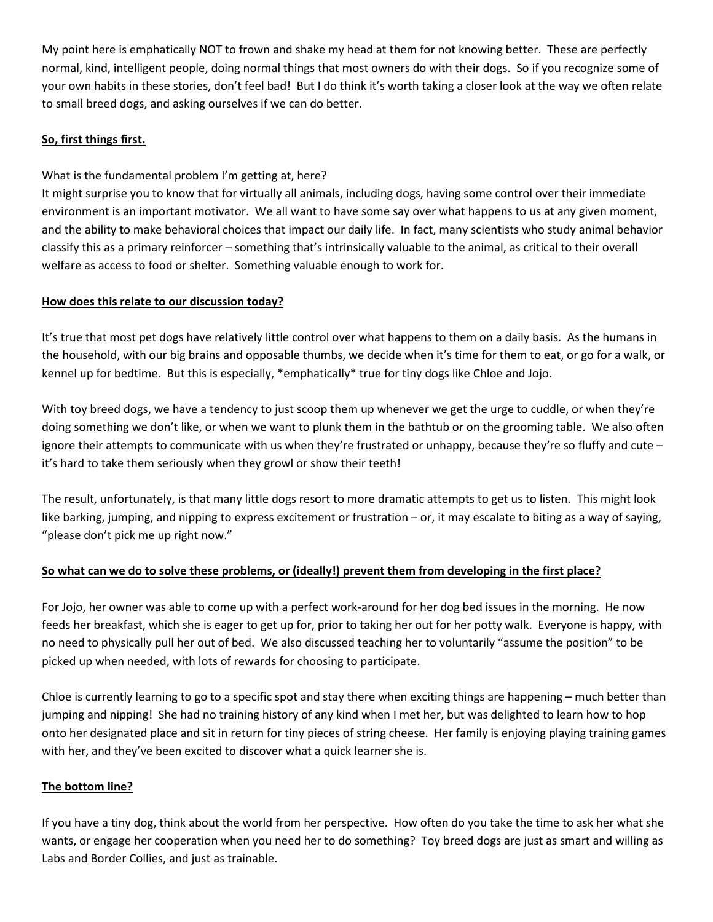My point here is emphatically NOT to frown and shake my head at them for not knowing better. These are perfectly normal, kind, intelligent people, doing normal things that most owners do with their dogs. So if you recognize some of your own habits in these stories, don't feel bad! But I do think it's worth taking a closer look at the way we often relate to small breed dogs, and asking ourselves if we can do better.

## **So, first things first.**

What is the fundamental problem I'm getting at, here?

It might surprise you to know that for virtually all animals, including dogs, having some control over their immediate environment is an important motivator. We all want to have some say over what happens to us at any given moment, and the ability to make behavioral choices that impact our daily life. In fact, many scientists who study animal behavior classify this as a primary reinforcer – something that's intrinsically valuable to the animal, as critical to their overall welfare as access to food or shelter. Something valuable enough to work for.

## **How does this relate to our discussion today?**

It's true that most pet dogs have relatively little control over what happens to them on a daily basis. As the humans in the household, with our big brains and opposable thumbs, we decide when it's time for them to eat, or go for a walk, or kennel up for bedtime. But this is especially, \*emphatically\* true for tiny dogs like Chloe and Jojo.

With toy breed dogs, we have a tendency to just scoop them up whenever we get the urge to cuddle, or when they're doing something we don't like, or when we want to plunk them in the bathtub or on the grooming table. We also often ignore their attempts to communicate with us when they're frustrated or unhappy, because they're so fluffy and cute – it's hard to take them seriously when they growl or show their teeth!

The result, unfortunately, is that many little dogs resort to more dramatic attempts to get us to listen. This might look like barking, jumping, and nipping to express excitement or frustration – or, it may escalate to biting as a way of saying, "please don't pick me up right now."

## **So what can we do to solve these problems, or (ideally!) prevent them from developing in the first place?**

For Jojo, her owner was able to come up with a perfect work-around for her dog bed issues in the morning. He now feeds her breakfast, which she is eager to get up for, prior to taking her out for her potty walk. Everyone is happy, with no need to physically pull her out of bed. We also discussed teaching her to voluntarily "assume the position" to be picked up when needed, with lots of rewards for choosing to participate.

Chloe is currently learning to go to a specific spot and stay there when exciting things are happening – much better than jumping and nipping! She had no training history of any kind when I met her, but was delighted to learn how to hop onto her designated place and sit in return for tiny pieces of string cheese. Her family is enjoying playing training games with her, and they've been excited to discover what a quick learner she is.

### **The bottom line?**

If you have a tiny dog, think about the world from her perspective. How often do you take the time to ask her what she wants, or engage her cooperation when you need her to do something? Toy breed dogs are just as smart and willing as Labs and Border Collies, and just as trainable.